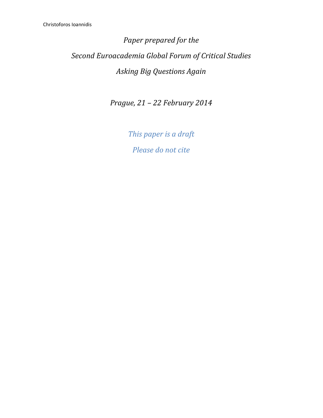Paper prepared for the Second Euroacademia Global Forum of Critical Studies Asking Big Questions Again

Prague, 21 – 22 February 2014

This paper is a draft Please do not cite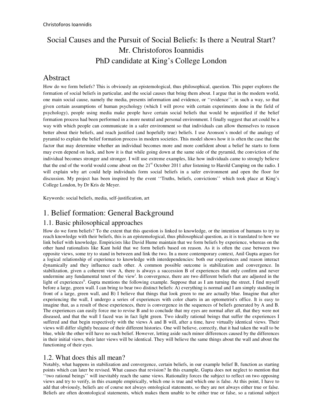# Social Causes and the Pursuit of Social Beliefs: Is there a Neutral Start? Mr. Christoforos Ioannidis PhD candidate at King's College London

## Abstract

How do we form beliefs? This is obviously an epistemological, thus philosophical, question. This paper explores the formation of social beliefs in particular, and the social causes that bring them about. I argue that in the modern world, one main social cause, namely the media, presents information and evidence, or ''evidence'', in such a way, so that given certain assumptions of human psychology (which I will prove with certain experiments done in the field of psychology), people using media make people have certain social beliefs that would be unjustified if the belief formation process had been performed in a more neutral and personal environment. I finally suggest that art could be a way with which people can communicate in a safer environment so that individuals can allow themselves to reason better about their beliefs, and reach justified (and hopefully true) beliefs. I use Aronson's model of the analogy of pyramid to explain the belief formation process in modern societies. This model shows how it is often the case that the factor that may determine whether an individual becomes more and more confident about a belief he starts to form may even depend on luck, and how it is that while going down at the same side of the pyramid, the conviction of the individual becomes stronger and stronger. I will use extreme examples, like how individuals came to strongly believe that the end of the world would come about on the 21<sup>st</sup> October 2011 after listening to Harold Camping on the radio. I will explain why art could help individuals form social beliefs in a safer environment and open the floor for discussion. My project has been inspired by the event ''Truths, beliefs, convictions'' which took place at King's College London, by Dr Kris de Meyer.

Keywords: social beliefs, media, self-justification, art

## 1. Belief formation: General Background

### 1.1. Basic philosophical approaches

How do we form beliefs? To the extent that this question is linked to knowledge, or the intention of humans to try to reach knowledge with their beliefs, this is an epistemological, thus philosophical question, as it is translated to how we link belief with knowledge. Empiricists like David Hume maintain that we form beliefs by experience, whereas on the other hand rationalists like Kant hold that we form beliefs based on reason. As it is often the case between two opposite views, some try to stand in between and link the two. In a more contemporary context, Anil Gupta argues for a logical relationship of experience to knowledge with interdependencies: both our experiences and reason interact dynamically and they influence each other. A common possible outcome is stabilization and convergence. In stabilization, given a coherent view A*,* there is always a succession B of experiences that only confirm and never undermine any fundamental tenet of the view<sup>1</sup>. In convergence, there are two different beliefs that are adjusted in the light of experiences<sup>ii</sup>. Gupta mentions the following example. Suppose that as I am turning the street, I find myself before a large, green wall. I can bring to bear two distinct beliefs: A) everything is normal and I am simply standing in front of a large, green wall, and B) I believe that things that look green to me are actually blue. Imagine that after experiencing the wall, I undergo a series of experiences with color charts in an optometrist's office. It is easy to imagine that, as a result of these experiences, there is convergence in the sequences of beliefs generated by A and B. The experiences can easily force me to revise B and to conclude that my eyes are normal after all, that they were not diseased, and that the wall I faced was in fact light green. Two ideally rational beings that suffer the experiences I suffered and that begin respectively with the views A and B will, after a time, have virtually identical views. Their views will differ slightly because of their different histories. One will believe, correctly, that it had taken the wall to be blue, while the other will have no such belief. However, letting aside such minor differences caused by the differences in their initial views, their later views will be identical. They will believe the same things about the wall and about the functioning of their eyes.

#### 1.2. What does this all mean?

Notably, what happens in stabilization and convergence, certain beliefs, in our example belief B, function as starting points which can later be revised. What causes that revision? In this example, Gupta does not neglect to mention that ''two rational beings'' will inevitably reach the same views. Rationality forces the subject to reflect on two opposing views and try to verify, in this example empirically, which one is true and which one is false. At this point, I have to add that obviously, beliefs are of course not always ontological statements, so they are not always either true or false. Beliefs are often deontological statements, which makes them unable to be either true or false, so a rational subject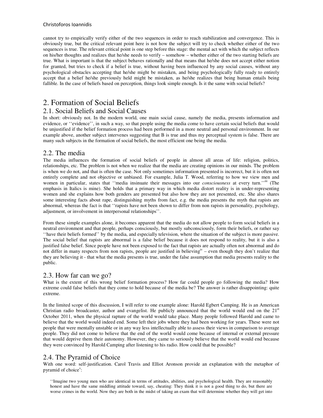#### Christoforos Ioannidis

cannot try to empirically verify either of the two sequences in order to reach stabilization and convergence. This is obviously true, but the critical relevant point here is not how the subject will try to check whether either of the two sequences is true. The relevant critical point is one step before this stage: the mental act with which the subject reflects on his/her thoughts and realizes that he/she needs to verify – somehow – whether either of the two starting beliefs are true. What is important is that the subject behaves rationally and that means that he/she does not accept either notion for granted, but tries to check if a belief is true, without having been influenced by any social causes, without any psychological obstacles accepting that he/she might be mistaken, and being psychologically fully ready to entirely accept that a belief he/she previously held might be mistaken, as he/she realizes that being human entails being fallible. In the case of beliefs based on perception, things look simple enough. Is it the same with social beliefs?

# 2. Formation of Social Beliefs

#### 2.1. Social Beliefs and Social Causes

In short: obviously not. In the modern world, one main social cause, namely the media, presents information and evidence, or ''evidence'', in such a way, so that people using the media come to have certain social beliefs that would be unjustified if the belief formation process had been performed in a more neutral and personal environment. In our example above, another subject intervenes suggesting that B is true and thus my perceptual system is false. There are many such subjects in the formation of social beliefs, the most efficient one being the media.

### 2.2. The media

The media influences the formation of social beliefs of people in almost all areas of life: religion, politics, relationships, etc. The problem is not when we realize that the media are creating opinions in our minds. The problem is when we do not, and that is often the case. Not only sometimes information presented is incorrect, but it is often not entirely complete and not objective or unbiased. For example, Julia T. Wood, referring to how we view men and women in particular, states that ''media insinuate their messages into our *consciousness* at every turn.''iii (The emphasis in Italics is mine). She holds that a primary way in which media distort reality is in under-representing women and she explains how both genders are presented but also how they are not presented, etc. She also shares some interesting facts about rape, distinguishing myths from fact, e.g. the media presents the myth that rapists are abnormal, whereas the fact is that ''rapists have not been shown to differ from non rapists in personality, psychology, adjustment, or involvement in interpersonal relationships''.

From these simple examples alone, it becomes apparent that the media do not allow people to form social beliefs in a neutral environment and that people, perhaps consciously, but mostly subconsciously, form their beliefs, or rather say ''have their beliefs formed'' by the media, and especially television, where the situation of the subject is more passive. The social belief that rapists are abnormal is a false belief because it does not respond to reality, but it is also a justified false belief. Since people have not been exposed to the fact that rapists are actually often not abnormal and do not differ in many respects from non rapists, people are justified in believing<sup>iv</sup> – even though they don't realize that they are believing it - that what the media presents is true, under the false assumption that media presents reality to the public.

#### 2.3. How far can we go?

What is the extent of this wrong belief formation process? How far could people go following the media? How extreme could false beliefs that they come to hold because of the media be? The answer is rather disappointing: quite extreme.

In the limited scope of this discussion, I will refer to one example alone: Harold Egbert Camping. He is an American Christian radio broadcaster, author and evangelist. He publicly announced that the world would end on the  $21<sup>st</sup>$ October 2011, when the physical rapture of the world would take place. Many people followed Harold and came to believe that the world would indeed end. Some left their jobs where they had been working for years. These were not people that were mentally unstable or in any way less intellectually able to assess their views in comparison to average people. They did not come to believe that the end of the world would come because of internal or external pressure that would deprive them their autonomy. However, they came to seriously believe that the world would end because they were convinced by Harold Camping after listening to his radio. How could that be possible?

#### 2.4. The Pyramid of Choice

With one word: self-justification. Carol Travis and Elliot Aronson provide an explanation with the metaphor of pyramid of choice<sup>v</sup>:

''Imagine two young men who are identical in terms of attitudes, abilities, and psychological health. They are reasonably honest and have the same middling attitude toward, say, cheating: They think it is not a good thing to do, but there are worse crimes in the world. Now they are both in the midst of taking an exam that will determine whether they will get into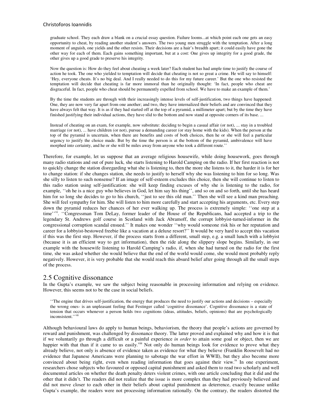graduate school. They each draw a blank on a crucial essay question. Failure looms...at which point each one gets an easy opportunity to cheat, by reading another student's answers. The two young men struggle with the temptation. After a long moment of anguish, one yields and the other resists. Their decisions are a hair's breadth apart; it could easily have gone the other way for each of them. Each gains something important, but at a cost: One gives up integrity for a good grade, the other gives up a good grade to preserve his integrity.

Now the question is: How do they feel about cheating a week later? Each student has had ample time to justify the course of action he took. The one who yielded to temptation will decide that cheating is not so great a crime. He will say to himself: 'Hey, everyone cheats. It's no big deal. And I really needed to do this for my future career.' But the one who resisted the temptation will decide that cheating is far more immoral than he originally thought: 'In fact, people who cheat are disgraceful. In fact, people who cheat should be permanently expelled from school. We have to make an example of them.'

By the time the students are through with their increasingly intense levels of self-justification, two things have happened: One, they are now very far apart from one another; and two, they have internalized their beliefs and are convinced that they have always felt that way. It is as if they had started off at the top of a pyramid, a millimeter apart; but by the time they have finished justifying their individual actions, they have slid to the bottom and now stand at opposite corners of its base. ...

Instead of cheating on an exam, for example, now substitute: deciding to begin a casual affair (or not), ... stay in a troubled marriage (or not), ... have children (or not), pursue a demanding career (or stay home with the kids). When the person at the top of the pyramid is uncertain, when there are benefits and costs of both choices, then he or she will feel a particular urgency to justify the choice made. But by the time the person is at the bottom of the pyramid, ambivalence will have morphed into certainty, and he or she will be miles away from anyone who took a different route.''

Therefore, for example, let us suppose that an average religious housewife, while doing housework, goes through many radio stations and out of pure luck, she starts listening to Harold Camping on the radio. If her first reaction is not to quickly change the station disregarding what she is listening to, then the more she listens to it, the harder it is for her to change station: if she changes station, she needs to justify to herself why she was listening to him for so long. Was she silly to listen to such nonsense? If an image of self-esteem excludes this choice, then she will continue to listen to this radio station using self-justification: she will keep finding excuses of why she is listening to the radio, for example, ''oh he is a nice guy who believes in God, let him say his thing'', and so on and so forth, until she has heard him for so long she decides to go to his church, "just to see this old man." Then she will see a kind man preaching. She will feel sympathy for him. She will listen to him more carefully and start accepting his arguments, etc. Every step down the pyramid reduces her chances of her ever walking up. The process is extremely simple: ''one step at a time''<sup>vi</sup>. "Congressman Tom DeLay, former leader of the House of the Republicans, had accepted a trip to the legendary St. Andrews golf course in Scotland with Jack Abramoff, the corrupt lobbyist-turned-informer in the congressional corruption scandal ensued.'' It makes one wonder ''why would someone risk his or her reputation and career for a lobbyist-bestowed freebie like a vacation at a deluxe resort?'' It would be very hard to accept this vacation if this was the first step. However, if the process starts from a different, small step, e.g. a small lunch with a lobbyist (because it is an efficient way to get information), then the ride along the slippery slope begins. Similarly, in our example with the housewife listening to Harold Camping's radio, if, when she had turned on the radio for the first time, she was asked whether she would believe that the end of the world would come, she would most probably reply negatively. However, it is very probable that she would reach this absurd belief after going through all the small steps of the process.

#### 2.5 Cognitive dissonance

In the Gupta's example, we saw the subject being reasonable in processing information and relying on evidence. However, this seems not to be the case in social beliefs.

''The engine that drives self-justification, the energy that produces the need to justify our actions and decisions – especially the wrong ones- is an unpleasant feeling that Festinger called 'cognitive dissonance'. Cognitive dissonance is a state of tension that occurs whenever a person holds two cognitions (ideas, attitudes, beliefs, opinions) that are psychologically inconsistent."<sup>vii</sup>

Although behavioural laws do apply to human beings, behaviorism, the theory that people's actions are governed by reward and punishment, was challenged by dissonance theory. The latter proved and explained why and how it is that if we voluntarily go through a difficult or a painful experience *in order* to attain some goal or object, then we are happier with that than if it came to us easily.<sup>viii</sup> Not only do human beings look for evidence to prove what they already believe, not only is absence of evidence taken as evidence for what they believe (Franklin Roosevelt had no evidence that Japanese Americans were planning to sabotage the war effort in WWII), but they also become more convinced about being right, even when reading information that goes against their view.<sup>ix</sup> In one experiment, researchers chose subjects who favoured or opposed capital punishment and asked them to read two scholarly and well documented articles on whether the death penalty deters violent crimes, with one article concluding that it did and the other that it didn't. The readers did not realize that the issue is more complex than they had previously believed and did not move closer to each other in their beliefs about capital punishment as deterrence, exactly because unlike Gupta's example, the readers were not processing information rationally. On the contrary, the readers distorted the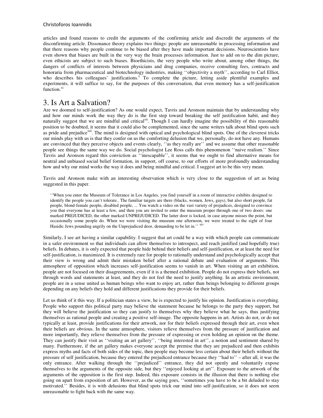#### Christoforos Ioannidis

articles and found reasons to credit the arguments of the confirming article and discredit the arguments of the disconfirming article. Dissonance theory explains two things: people are unreasonable in processing information and that there reasons why people continue to be biased after they have made important decisions. Neuroscientists have even shown that biases are built in the very way the brain processes information. Just to add on to the dim picture, even ethicists are subject to such biases. Bioethicists, the very people who write about, among other things, the dangers of conflicts of interests between physicians and drug companies, receive consulting fees, contracts and honoraria from pharmaceutical and biotechnology industries, making ''objectivity a myth'', according to Carl Elliot, who describes his colleagues' justifications.<sup>x</sup> To complete the picture, letting aside plentiful examples and experiments, it will suffice to say, for the purposes of this conversation, that even memory has a self-justification function.<sup>xi</sup>

### 3. Is Art a Salvation?

Are we doomed to self-justification? As one would expect, Tavris and Aronson maintain that by understanding why and how our minds work the way they do is the first step toward breaking the self justification habit, and they naturally suggest that we are mindful and critical<sup>xii</sup>. Though I can hardly imagine the possibility of this reasonable position to be doubted, it seems that it could also be complemented, since the same writers talk about blind spots such as pride and prejudice<sup>xiii</sup>. The mind is designed with optical and psychological blind spots. One of the cleverest tricks our minds play with us is that they confer on us the comforting delusion that we, personally, do not have any. Humans are convinced that they perceive objects and events clearly, ''as they really are'' and we assume that other reasonable people see things the same way we do. Social psychologist Lee Ross calls this phenomenon ''naive realism.'' Since Tavris and Aronson regard this conviction as ''inescapable'', it seems that we ought to find alternative means for neutral and unbiased social belief formation, in support, off course, to our efforts of more profoundly understanding how and why our mind works the way it does and being mindful and critical. I suggest art to be this very mean.

Tavris and Aronson make with an interesting observation which is very close to the suggestion of art as being suggested in this paper.

''When you enter the Museum of Tolerance in Los Angeles, you find yourself in a room of interactive exhibits designed to identify the people you can't tolerate.. The familiar targets are there (blacks, women, Jews, gays), but also short people, fat people, blond-female people, disabled people, ... You watch a video on the vast variety of prejudices, designed to convince you that everyone has at least a few, and then you are invited to enter the museum proper through one of two doors: one marked PREJUDICED, the other marked UNPREJUDICED. The latter door is locked, in case anyone misses the point, but occasionally some people do. When we were visiting the museum one afternoon, we were treated to the sight of four Hasidic Jews pounding angrily on the Unprejudiced door, demanding to be let in." xiv

Similarly, I see art having a similar capability. I suggest that art could be a way with which people can communicate in a safer environment so that individuals can allow themselves to introspect, and reach justified (and hopefully true) beliefs. In debates, it is only expected that people hide behind their beliefs and self-justification, or at least the need for self-justification, is maximized. It is extremely rare for people to rationally understand and psychologically accept that their view is wrong and admit their mistaken belief after a rational debate and evaluation of arguments. This atmosphere of opposition which increases self-justification seems to vanish in art. When visiting an art exhibition, people are not focused on their disagreements, even if it is a themed exhibition. People do not express their beliefs, not through words and statements at least, and they do not feel the need to justify anything. In an artistic environment, people are in a sense united as human beings who want to enjoy art, rather than beings belonging to different groups depending on any beliefs they hold and different justifications they provide for their beliefs.

Let us think of it this way. If a politician states a view, he is expected to justify his opinion. Justification is everything. People who support this political party may believe the statement because he belongs to the party they support, but they will believe the justification so they can justify to themselves why they believe what he says, thus justifying themselves as rational people and creating a positive self-image. The opposite happens in art. Artists do not, or do not typically at least, provide justifications for their artwork, nor for their beliefs expressed through their art, even when their beliefs are obvious. In the same atmosphere, visitors relieve themselves from the pressure of justification and more importantly, they relieve themselves from the pressure of expressing or even holding an opinion on the theme. They can justify their visit as ''visiting an art gallery'', ''being interested in art'', a notion and sentiment shared by many. Furthermore, if the art gallery makes everyone accept the premise that they are prejudiced and then exhibits express myths and facts of both sides of the topic, then people may become less certain about their beliefs without the pressure of self justification, because they entered the prejudiced entrance because they ''had to'' – after all, it was the only entrance. After walking through the ''prejudiced'' entrance, they did not openly and voluntarily expose themselves to the arguments of the opposite side, but they ''enjoyed looking at art''. Exposure to the artwork of the arguments of the opposition is the first step. Indeed, this exposure consists in the illusion that there is nothing else going on apart from exposition of art. However, as the saying goes, ''sometimes you have to be a bit deluded to stay motivated.'' Besides, it is with delusions that blind spots trick our mind into self-justification, so it does not seem unreasonable to fight back with the same way.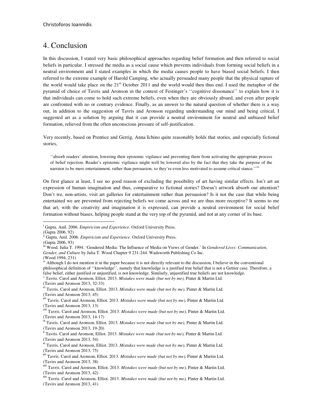## 4. Conclusion

In this discussion, I stated very basic philosophical approaches regarding belief formation and then referred to social beliefs in particular. I stressed the media as a social cause which prevents individuals from forming social beliefs in a neutral environment and I stated examples in which the media causes people to have biased social beliefs. I then referred to the extreme example of Harold Camping, who actually persuaded many people that the physical rapture of the world would take place on the  $21<sup>st</sup>$  October 2011 and the world would then thus end. I used the metaphor of the pyramid of choice of Tavris and Aronson in the context of Festinger's ''cognitive dissonance'' to explain how it is that individuals can come to hold such extreme beliefs, even when they are obviously absurd, and even after people are confronted with no or contrary evidence. Finally, as an answer to the natural question of whether there is a way out, in addition to the suggestion of Tavris and Aronson regarding understanding our mind and being critical, I suggested art as a solution by arguing that it can provide a neutral environment for neutral and unbiased belief formation, relieved from the often unconscious pressure of self-justification.

Very recently, based on Prentice and Gerrig, Anna Ichino quite reasonably holds that stories, and especially fictional stories,

''absorb readers' attention, lowering their epistemic vigilance and preventing them from activating the appropriate process of belief rejection. Reader's epistemic vigilance might well be lowered also by the fact that they take the purpose of the narrator to be mere entertainment, rather than persuasion, so they're even less motivated to assume critical stance.''<sup>xv</sup>

On first glance at least, I see no good reason of excluding the possibility of art having similar effects. Isn't art an expression of human imagination and thus, comparative to fictional stories? Doesn't artwork absorb our attention? Don't we, non-artists, visit art galleries for entertainment rather than persuasion? Is it not the case that while being entertained we are prevented from rejecting beliefs we come across and we are thus more receptive? It seems to me that art, with the creativity and imagination it is expressed, can provide a neutral environment for social belief formation without biases, helping people stand at the very top of the pyramid, and not at any corner of its base.

l

(Tavirs and Aronson 2013, 32-33)

i Gupta, Anil. 2006. *Empiricism and Experience*. Oxford University Press.

<sup>(</sup>Gupta 2006, 92)

<sup>&</sup>lt;sup>i</sup>Gupta, Anil. 2006. *Empiricism and Experience*. Oxford University Press.

<sup>(</sup>Gupta 2006, 93)

iii Wood, Julia T. 1994. 'Gendered Media: The Influence of Media on Views of Gender.' In *Gendered Lives: Communication, Gender, and Culture* by Julia T. Wood Chapter 9 231-244. Wadsworth Publishing Co Inc.

<sup>(</sup>Wood 1994, 231)

<sup>&</sup>lt;sup>iv</sup> Although I do not mention it in the paper because it is not directly relevant to the discussion, I believe in the conventional philosophical definition of ''knowledge'', namely that knowledge is a justified true belief that is not a Gettier case. Therefore, a false belief, either justified or unjustified, is not knowledge. Similarly, unjustified true beliefs are not knowledge. v Tavris. Carol and Aronson, Elliot. 2013. *Mistakes were made (but not by me),* Pinter & Martin Ltd.

vi Tavris. Carol and Aronson, Elliot. 2013. *Mistakes were made (but not by me),* Pinter & Martin Ltd. (Tavirs and Aronson 2013, 45)

vii Tavris. Carol and Aronson, Elliot. 2013. *Mistakes were made (but not by me),* Pinter & Martin Ltd. (Tavirs and Aronson 2013, 13)

viii Tavris. Carol and Aronson, Elliot. 2013. *Mistakes were made (but not by me),* Pinter & Martin Ltd. (Tavirs and Aronson 2013, 14-17)

ix Tavris. Carol and Aronson, Elliot. 2013. *Mistakes were made (but not by me),* Pinter & Martin Ltd. (Tavirs and Aronson 2013, 19-20)

x Tavris. Carol and Aronson, Elliot. 2013. *Mistakes were made (but not by me),* Pinter & Martin Ltd. (Tavirs and Aronson 2013, 54)

xi Tavris. Carol and Aronson, Elliot. 2013. *Mistakes were made (but not by me),* Pinter & Martin Ltd. (Tavirs and Aronson 2013, 75)

xii Tavris. Carol and Aronson, Elliot. 2013. *Mistakes were made (but not by me),* Pinter & Martin Ltd. (Tavirs and Aronson 2013, 38)

xiii Tavris. Carol and Aronson, Elliot. 2013. *Mistakes were made (but not by me),* Pinter & Martin Ltd. (Tavirs and Aronson 2013, 42)

xiv Tavris. Carol and Aronson, Elliot. 2013. *Mistakes were made (but not by me),* Pinter & Martin Ltd. (Tavirs and Aronson 2013, 41)